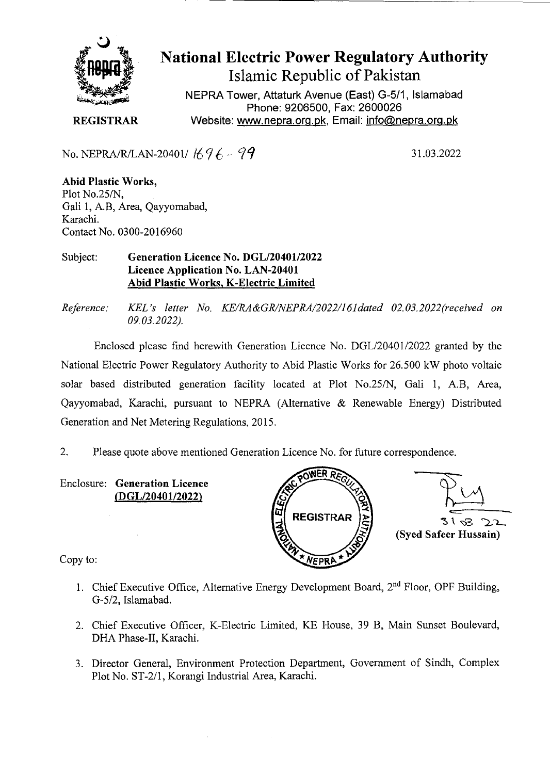

National Electric Power Regulatory Authority Islamic Republic of Pakistan

**NEPRA Tower, Attaturk Avenue (East)** G-511, **Islamabad Phone: 9206500, Fax: 2600026 REGISTRAR Website: www.nepra.org.pk, Email: info@nepra.org.pk** 

No. NEPRA/R/LAN-20401/ $1696 - 99$ 

- 31.03.2022

Abid Plastic Works, Plot No.25/N, Gali I, A.B, Area, Qayyomabad, Karachi. Contact No. 0300-2016960

Subject: **Generation Licence** No. DGL/20401/2022 Licence Application No. LAN**-20401 Abid Plastic Works, K-Electric Limited** 

*Reference: KEL 's letter No. KE/RA&GRINEPRA/2022/l6ldated 02.03. 2022(received on 09.03.2022).* 

Enclosed please find herewith Generation Licence No. DGL/20401/2022 granted by the National Electric Power Regulatory Authority to Abid Plastic Works for 26.500 kW photo voltaic solar based distributed generation facility located at Plot No.25/N, Gali 1, A.B, Area, Qayyomabad, Karachi, pursuant to NEPRA (Alternative & Renewable Energy) Distributed Generation and Net Metering Regulations, 2015.

2. Please quote above mentioned Generation Licence No. for future correspondence.

Enclosure: **Generation Licence (DGL/20401/2022)** 





Copy to:

- 1. Chief Executive Office, Alternative Energy Development Board, 2<sup>nd</sup> Floor, OPF Building, G-5/2, Islamabad.
- 2. Chief Executive Officer, K-Electric Limited, KE House, 39 B, Main Sunset Boulevard, DHA Phase-Il, Karachi.
- 3. Director General, Environment Protection Department, Government of Sindh, Complex Plot No. ST-2/1, Korangi Industrial Area, Karachi.